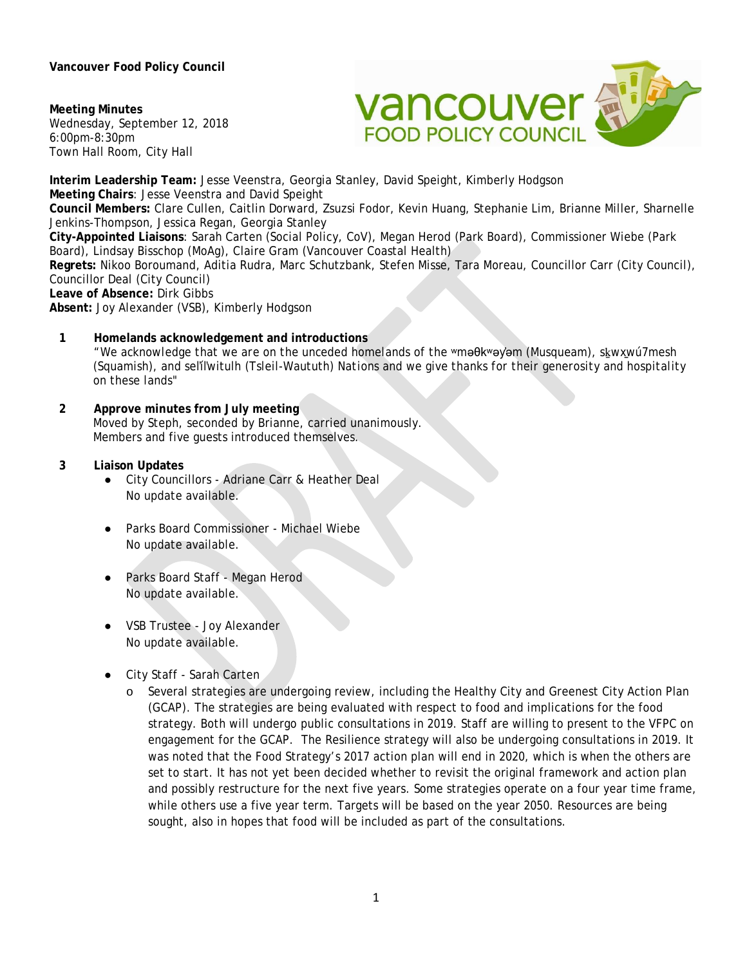**Vancouver Food Policy Council** 

**Meeting Minutes** Wednesday, September 12, 2018 6:00pm-8:30pm Town Hall Room, City Hall



**Interim Leadership Team:** Jesse Veenstra, Georgia Stanley, David Speight, Kimberly Hodgson **Meeting Chairs**: Jesse Veenstra and David Speight **Council Members:** Clare Cullen, Caitlin Dorward, Zsuzsi Fodor, Kevin Huang, Stephanie Lim, Brianne Miller, Sharnelle Jenkins-Thompson, Jessica Regan, Georgia Stanley **City-Appointed Liaisons**: Sarah Carten (Social Policy, CoV), Megan Herod (Park Board), Commissioner Wiebe (Park Board), Lindsay Bisschop (MoAg), Claire Gram (Vancouver Coastal Health) **Regrets:** Nikoo Boroumand, Aditia Rudra, Marc Schutzbank, Stefen Misse, Tara Moreau, Councillor Carr (City Council), Councillor Deal (City Council) **Leave of Absence:** Dirk Gibbs **Absent:** Joy Alexander (VSB), Kimberly Hodgson

- **1 Homelands acknowledgement and introductions**  *"We acknowledge that we are on the unceded homelands of the* ʷməθkʷəy̓əm (Musqueam), sḵwx̱wú7mesh (Squamish), and sel̓íl̓witulh (Tsleil-Waututh) *Nations and we give thanks for their generosity and hospitality on these lands"*
- **2 Approve minutes from July meeting**  Moved by Steph, seconded by Brianne, carried unanimously. Members and five guests introduced themselves.
- **3 Liaison Updates** 
	- City Councillors Adriane Carr & Heather Deal No update available.
	- Parks Board Commissioner Michael Wiebe No update available.
	- Parks Board Staff Megan Herod No update available.
	- VSB Trustee Joy Alexander No update available.
	- City Staff Sarah Carten
		- o Several strategies are undergoing review, including the Healthy City and Greenest City Action Plan (GCAP). The strategies are being evaluated with respect to food and implications for the food strategy. Both will undergo public consultations in 2019. Staff are willing to present to the VFPC on engagement for the GCAP. The Resilience strategy will also be undergoing consultations in 2019. It was noted that the Food Strategy's 2017 action plan will end in 2020, which is when the others are set to start. It has not yet been decided whether to revisit the original framework and action plan and possibly restructure for the next five years. Some strategies operate on a four year time frame, while others use a five year term. Targets will be based on the year 2050. Resources are being sought, also in hopes that food will be included as part of the consultations.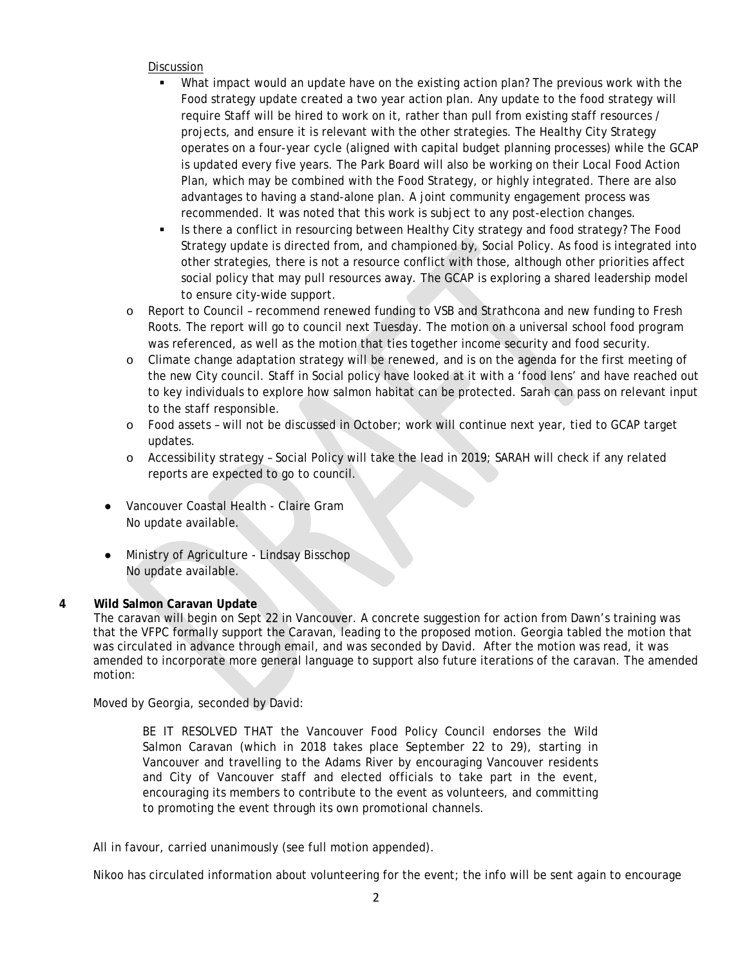## Discussion

- What impact would an update have on the existing action plan? The previous work with the Food strategy update created a two year action plan. Any update to the food strategy will require Staff will be hired to work on it, rather than pull from existing staff resources / projects, and ensure it is relevant with the other strategies. The Healthy City Strategy operates on a four-year cycle (aligned with capital budget planning processes) while the GCAP is updated every five years. The Park Board will also be working on their Local Food Action Plan, which may be combined with the Food Strategy, or highly integrated. There are also advantages to having a stand-alone plan. A joint community engagement process was recommended. It was noted that this work is subject to any post-election changes.
- Is there a conflict in resourcing between Healthy City strategy and food strategy? The Food Strategy update is directed from, and championed by, Social Policy. As food is integrated into other strategies, there is not a resource conflict with those, although other priorities affect social policy that may pull resources away. The GCAP is exploring a shared leadership model to ensure city-wide support.
- o Report to Council recommend renewed funding to VSB and Strathcona and new funding to Fresh Roots. The report will go to council next Tuesday. The motion on a universal school food program was referenced, as well as the motion that ties together income security and food security.
- o Climate change adaptation strategy will be renewed, and is on the agenda for the first meeting of the new City council. Staff in Social policy have looked at it with a 'food lens' and have reached out to key individuals to explore how salmon habitat can be protected. Sarah can pass on relevant input to the staff responsible.
- o Food assets will not be discussed in October; work will continue next year, tied to GCAP target updates.
- o Accessibility strategy Social Policy will take the lead in 2019; SARAH will check if any related reports are expected to go to council.
- Vancouver Coastal Health Claire Gram No update available.
- Ministry of Agriculture Lindsay Bisschop No update available.

### **4 Wild Salmon Caravan Update**

The caravan will begin on Sept 22 in Vancouver. A concrete suggestion for action from Dawn's training was that the VFPC formally support the Caravan, leading to the proposed motion. Georgia tabled the motion that was circulated in advance through email, and was seconded by David. After the motion was read, it was amended to incorporate more general language to support also future iterations of the caravan. The amended motion:

Moved by Georgia, seconded by David:

BE IT RESOLVED THAT the Vancouver Food Policy Council endorses the Wild Salmon Caravan (which in 2018 takes place September 22 to 29), starting in Vancouver and travelling to the Adams River by encouraging Vancouver residents and City of Vancouver staff and elected officials to take part in the event, encouraging its members to contribute to the event as volunteers, and committing to promoting the event through its own promotional channels.

All in favour, carried unanimously (see full motion appended).

Nikoo has circulated information about volunteering for the event; the info will be sent again to encourage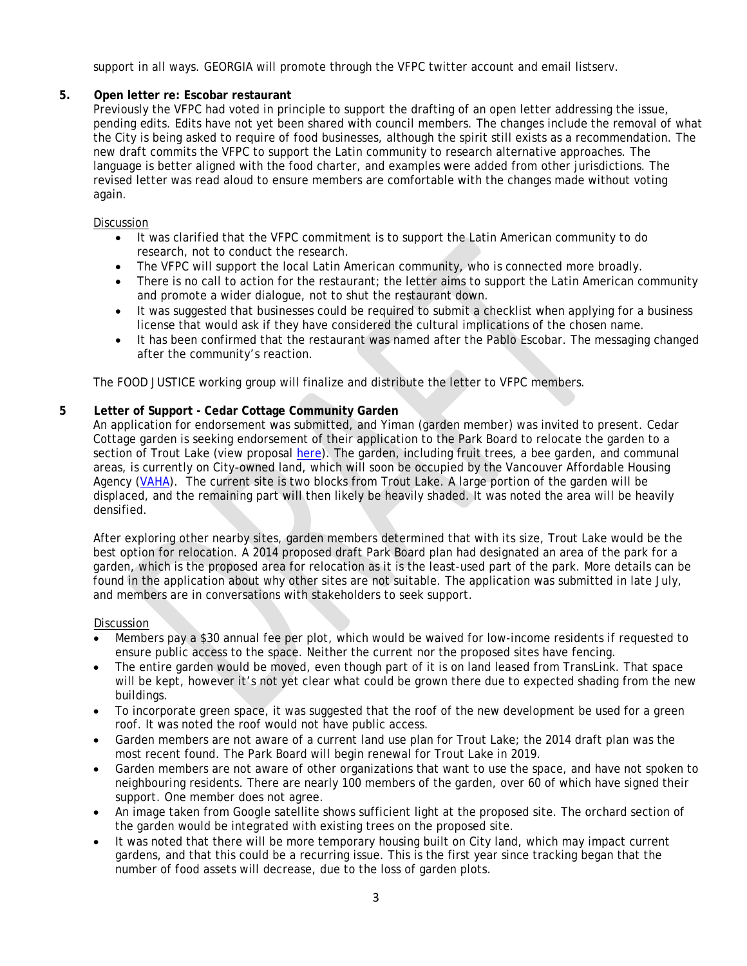support in all ways. GEORGIA will promote through the VFPC twitter account and email listserv.

# **5. Open letter re: Escobar restaurant**

Previously the VFPC had voted in principle to support the drafting of an open letter addressing the issue, pending edits. Edits have not yet been shared with council members. The changes include the removal of what the City is being asked to require of food businesses, although the spirit still exists as a recommendation. The new draft commits the VFPC to support the Latin community to research alternative approaches. The language is better aligned with the food charter, and examples were added from other jurisdictions. The revised letter was read aloud to ensure members are comfortable with the changes made without voting again.

### Discussion

- It was clarified that the VFPC commitment is to support the Latin American community to do research, not to conduct the research.
- The VFPC will support the local Latin American community, who is connected more broadly.
- There is no call to action for the restaurant; the letter aims to support the Latin American community and promote a wider dialogue, not to shut the restaurant down.
- It was suggested that businesses could be required to submit a checklist when applying for a business license that would ask if they have considered the cultural implications of the chosen name.
- It has been confirmed that the restaurant was named after *the* Pablo Escobar. The messaging changed after the community's reaction.

The FOOD JUSTICE working group will finalize and distribute the letter to VFPC members.

### **5 Letter of Support - Cedar Cottage Community Garden**

An application for endorsement was submitted, and Yiman (garden member) was invited to present. Cedar Cottage garden is seeking endorsement of their application to the Park Board to relocate the garden to a section of Trout Lake (view proposal here). The garden, including fruit trees, a bee garden, and communal areas, is currently on City-owned land, which will soon be occupied by the Vancouver Affordable Housing Agency [\(VAHA\)](http://vaha.ca/). The current site is two blocks from Trout Lake. A large portion of the garden will be displaced, and the remaining part will then likely be heavily shaded. It was noted the area will be heavily densified.

After exploring other nearby sites, garden members determined that with its size, Trout Lake would be the best option for relocation. A 2014 proposed draft Park Board plan had designated an area of the park for a garden, which is the proposed area for relocation as it is the least-used part of the park. More details can be found in the application about why other sites are not suitable. The application was submitted in late July, and members are in conversations with stakeholders to seek support.

#### Discussion

- Members pay a \$30 annual fee per plot, which would be waived for low-income residents if requested to ensure public access to the space. Neither the current nor the proposed sites have fencing.
- The entire garden would be moved, even though part of it is on land leased from TransLink. That space will be kept, however it's not yet clear what could be grown there due to expected shading from the new buildings.
- To incorporate green space, it was suggested that the roof of the new development be used for a green roof. It was noted the roof would not have public access.
- Garden members are not aware of a current land use plan for Trout Lake; the 2014 draft plan was the most recent found. The Park Board will begin renewal for Trout Lake in 2019.
- Garden members are not aware of other organizations that want to use the space, and have not spoken to neighbouring residents. There are nearly 100 members of the garden, over 60 of which have signed their support. One member does not agree.
- An image taken from Google satellite shows sufficient light at the proposed site. The orchard section of the garden would be integrated with existing trees on the proposed site.
- It was noted that there will be more temporary housing built on City land, which may impact current gardens, and that this could be a recurring issue. This is the first year since tracking began that the number of food assets will decrease, due to the loss of garden plots.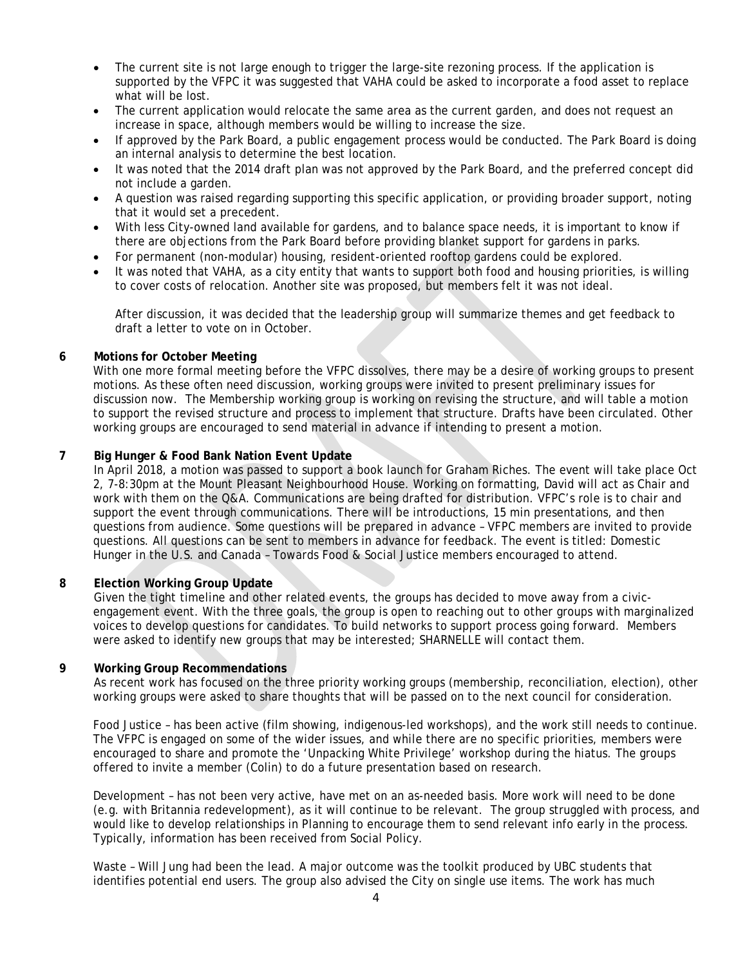- The current site is not large enough to trigger the large-site rezoning process. If the application is supported by the VFPC it was suggested that VAHA could be asked to incorporate a food asset to replace what will be lost.
- The current application would relocate the same area as the current garden, and does not request an increase in space, although members would be willing to increase the size.
- If approved by the Park Board, a public engagement process would be conducted. The Park Board is doing an internal analysis to determine the best location.
- It was noted that the 2014 draft plan was not approved by the Park Board, and the preferred concept did not include a garden.
- A question was raised regarding supporting this specific application, or providing broader support, noting that it would set a precedent.
- With less City-owned land available for gardens, and to balance space needs, it is important to know if there are objections from the Park Board before providing blanket support for gardens in parks.
- For permanent (non-modular) housing, resident-oriented rooftop gardens could be explored.
- It was noted that VAHA, as a city entity that wants to support both food and housing priorities, is willing to cover costs of relocation. Another site was proposed, but members felt it was not ideal.

After discussion, it was decided that the leadership group will summarize themes and get feedback to draft a letter to vote on in October.

## **6 Motions for October Meeting**

With one more formal meeting before the VFPC dissolves, there may be a desire of working groups to present motions. As these often need discussion, working groups were invited to present preliminary issues for discussion now. The Membership working group is working on revising the structure, and will table a motion to support the revised structure and process to implement that structure. Drafts have been circulated. Other working groups are encouraged to send material in advance if intending to present a motion.

## **7 Big Hunger & Food Bank Nation Event Update**

In April 2018, a motion was passed to support a book launch for Graham Riches. The event will take place Oct 2, 7-8:30pm at the Mount Pleasant Neighbourhood House. Working on formatting, David will act as Chair and work with them on the Q&A. Communications are being drafted for distribution. VFPC's role is to chair and support the event through communications. There will be introductions, 15 min presentations, and then questions from audience. Some questions will be prepared in advance – VFPC members are invited to provide questions. All questions can be sent to members in advance for feedback. The event is titled: Domestic Hunger in the U.S. and Canada – Towards Food & Social Justice members encouraged to attend.

### **8 Election Working Group Update**

Given the tight timeline and other related events, the groups has decided to move away from a civicengagement event. With the three goals, the group is open to reaching out to other groups with marginalized voices to develop questions for candidates. To build networks to support process going forward. Members were asked to identify new groups that may be interested; SHARNELLE will contact them.

### **9 Working Group Recommendations**

As recent work has focused on the three priority working groups (membership, reconciliation, election), other working groups were asked to share thoughts that will be passed on to the next council for consideration.

Food Justice – has been active (film showing, indigenous-led workshops), and the work still needs to continue. The VFPC is engaged on some of the wider issues, and while there are no specific priorities, members were encouraged to share and promote the 'Unpacking White Privilege' workshop during the hiatus. The groups offered to invite a member (Colin) to do a future presentation based on research.

Development – has not been very active, have met on an as-needed basis. More work will need to be done (e.g. with Britannia redevelopment), as it will continue to be relevant. The group struggled with process, and would like to develop relationships in Planning to encourage them to send relevant info early in the process. Typically, information has been received from Social Policy.

Waste – Will Jung had been the lead. A major outcome was the toolkit produced by UBC students that identifies potential end users. The group also advised the City on single use items. The work has much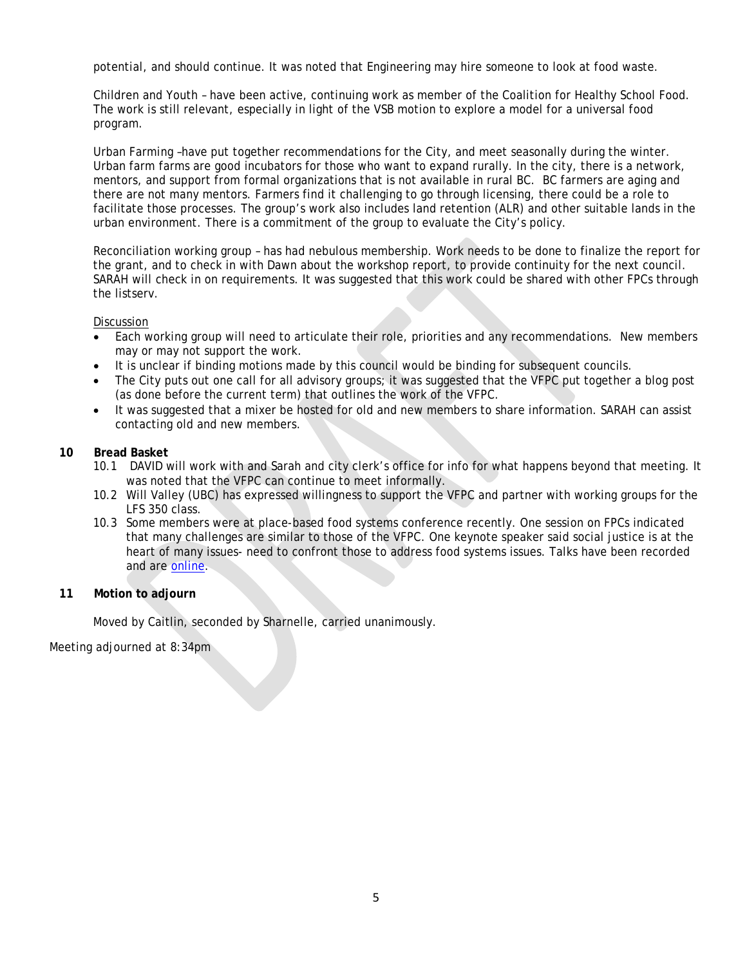potential, and should continue. It was noted that Engineering may hire someone to look at food waste.

Children and Youth – have been active, continuing work as member of the Coalition for Healthy School Food. The work is still relevant, especially in light of the VSB motion to explore a model for a universal food program.

Urban Farming –have put together recommendations for the City, and meet seasonally during the winter. Urban farm farms are good incubators for those who want to expand rurally. In the city, there is a network, mentors, and support from formal organizations that is not available in rural BC. BC farmers are aging and there are not many mentors. Farmers find it challenging to go through licensing, there could be a role to facilitate those processes. The group's work also includes land retention (ALR) and other suitable lands in the urban environment. There is a commitment of the group to evaluate the City's policy.

Reconciliation working group – has had nebulous membership. Work needs to be done to finalize the report for the grant, and to check in with Dawn about the workshop report, to provide continuity for the next council. SARAH will check in on requirements. It was suggested that this work could be shared with other FPCs through the listserv.

### Discussion

- Each working group will need to articulate their role, priorities and any recommendations. New members may or may not support the work.
- It is unclear if binding motions made by this council would be binding for subsequent councils.
- The City puts out one call for all advisory groups; it was suggested that the VFPC put together a blog post (as done before the current term) that outlines the work of the VFPC.
- It was suggested that a mixer be hosted for old and new members to share information. SARAH can assist contacting old and new members.

### **10 Bread Basket**

- 10.1 DAVID will work with and Sarah and city clerk's office for info for what happens beyond that meeting. It was noted that the VFPC can continue to meet informally.
- 10.2 Will Valley (UBC) has expressed willingness to support the VFPC and partner with working groups for the LFS 350 class.
- 10.3 Some members were at place-based food systems conference recently. One session on FPCs indicated that many challenges are similar to those of the VFPC. One keynote speaker said social justice is at the heart of many issues- need to confront those to address food systems issues. Talks have been recorded and are [online.](http://www.kpu.ca/pbfs2018/keynote-speakers)

### **11 Motion to adjourn**

Moved by Caitlin, seconded by Sharnelle, carried unanimously.

Meeting adjourned at 8:34pm